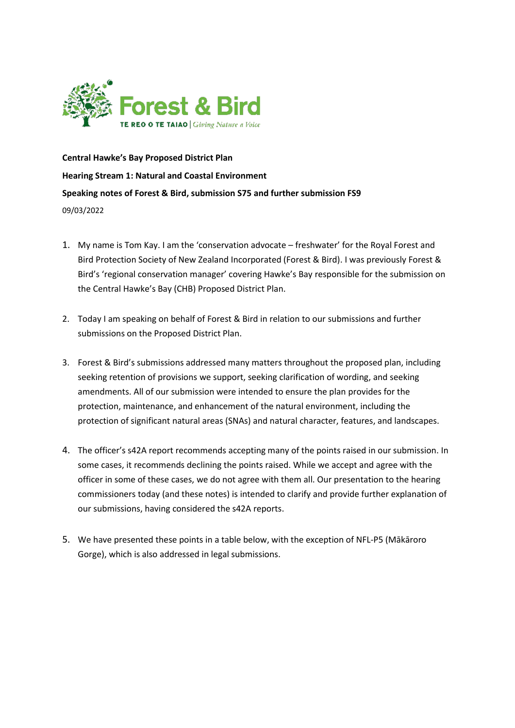

**Central Hawke's Bay Proposed District Plan Hearing Stream 1: Natural and Coastal Environment Speaking notes of Forest & Bird, submission S75 and further submission FS9** 09/03/2022

- 1. My name is Tom Kay. I am the 'conservation advocate freshwater' for the Royal Forest and Bird Protection Society of New Zealand Incorporated (Forest & Bird). I was previously Forest & Bird's 'regional conservation manager' covering Hawke's Bay responsible for the submission on the Central Hawke's Bay (CHB) Proposed District Plan.
- 2. Today I am speaking on behalf of Forest & Bird in relation to our submissions and further submissions on the Proposed District Plan.
- 3. Forest & Bird's submissions addressed many matters throughout the proposed plan, including seeking retention of provisions we support, seeking clarification of wording, and seeking amendments. All of our submission were intended to ensure the plan provides for the protection, maintenance, and enhancement of the natural environment, including the protection of significant natural areas (SNAs) and natural character, features, and landscapes.
- 4. The officer's s42A report recommends accepting many of the points raised in our submission. In some cases, it recommends declining the points raised. While we accept and agree with the officer in some of these cases, we do not agree with them all. Our presentation to the hearing commissioners today (and these notes) is intended to clarify and provide further explanation of our submissions, having considered the s42A reports.
- 5. We have presented these points in a table below, with the exception of NFL-P5 (Mākāroro Gorge), which is also addressed in legal submissions.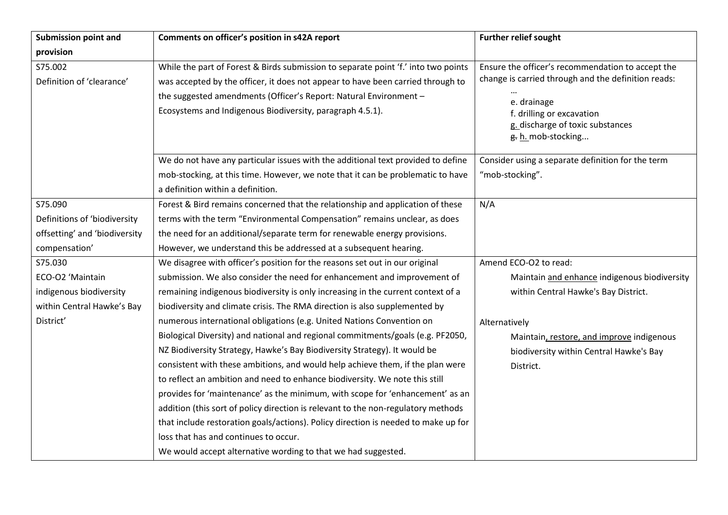| <b>Submission point and</b>          | Comments on officer's position in s42A report                                                                                                                                                                                                                                                           | <b>Further relief sought</b>                                                                                                                                                                                   |
|--------------------------------------|---------------------------------------------------------------------------------------------------------------------------------------------------------------------------------------------------------------------------------------------------------------------------------------------------------|----------------------------------------------------------------------------------------------------------------------------------------------------------------------------------------------------------------|
| provision                            |                                                                                                                                                                                                                                                                                                         |                                                                                                                                                                                                                |
| S75.002<br>Definition of 'clearance' | While the part of Forest & Birds submission to separate point 'f.' into two points<br>was accepted by the officer, it does not appear to have been carried through to<br>the suggested amendments (Officer's Report: Natural Environment -<br>Ecosystems and Indigenous Biodiversity, paragraph 4.5.1). | Ensure the officer's recommendation to accept the<br>change is carried through and the definition reads:<br>e. drainage<br>f. drilling or excavation<br>g. discharge of toxic substances<br>g. h. mob-stocking |
|                                      | We do not have any particular issues with the additional text provided to define                                                                                                                                                                                                                        | Consider using a separate definition for the term                                                                                                                                                              |
|                                      | mob-stocking, at this time. However, we note that it can be problematic to have<br>a definition within a definition.                                                                                                                                                                                    | "mob-stocking".                                                                                                                                                                                                |
| S75.090                              | Forest & Bird remains concerned that the relationship and application of these                                                                                                                                                                                                                          | N/A                                                                                                                                                                                                            |
| Definitions of 'biodiversity         | terms with the term "Environmental Compensation" remains unclear, as does                                                                                                                                                                                                                               |                                                                                                                                                                                                                |
| offsetting' and 'biodiversity        | the need for an additional/separate term for renewable energy provisions.                                                                                                                                                                                                                               |                                                                                                                                                                                                                |
| compensation'                        | However, we understand this be addressed at a subsequent hearing.                                                                                                                                                                                                                                       |                                                                                                                                                                                                                |
| S75.030                              | We disagree with officer's position for the reasons set out in our original                                                                                                                                                                                                                             | Amend ECO-O2 to read:                                                                                                                                                                                          |
| ECO-O2 'Maintain                     | submission. We also consider the need for enhancement and improvement of                                                                                                                                                                                                                                | Maintain and enhance indigenous biodiversity                                                                                                                                                                   |
| indigenous biodiversity              | remaining indigenous biodiversity is only increasing in the current context of a                                                                                                                                                                                                                        | within Central Hawke's Bay District.                                                                                                                                                                           |
| within Central Hawke's Bay           | biodiversity and climate crisis. The RMA direction is also supplemented by                                                                                                                                                                                                                              |                                                                                                                                                                                                                |
| District'                            | numerous international obligations (e.g. United Nations Convention on                                                                                                                                                                                                                                   | Alternatively                                                                                                                                                                                                  |
|                                      | Biological Diversity) and national and regional commitments/goals (e.g. PF2050,                                                                                                                                                                                                                         | Maintain, restore, and improve indigenous                                                                                                                                                                      |
|                                      | NZ Biodiversity Strategy, Hawke's Bay Biodiversity Strategy). It would be                                                                                                                                                                                                                               | biodiversity within Central Hawke's Bay                                                                                                                                                                        |
|                                      | consistent with these ambitions, and would help achieve them, if the plan were                                                                                                                                                                                                                          | District.                                                                                                                                                                                                      |
|                                      | to reflect an ambition and need to enhance biodiversity. We note this still                                                                                                                                                                                                                             |                                                                                                                                                                                                                |
|                                      | provides for 'maintenance' as the minimum, with scope for 'enhancement' as an                                                                                                                                                                                                                           |                                                                                                                                                                                                                |
|                                      | addition (this sort of policy direction is relevant to the non-regulatory methods                                                                                                                                                                                                                       |                                                                                                                                                                                                                |
|                                      | that include restoration goals/actions). Policy direction is needed to make up for                                                                                                                                                                                                                      |                                                                                                                                                                                                                |
|                                      | loss that has and continues to occur.                                                                                                                                                                                                                                                                   |                                                                                                                                                                                                                |
|                                      | We would accept alternative wording to that we had suggested.                                                                                                                                                                                                                                           |                                                                                                                                                                                                                |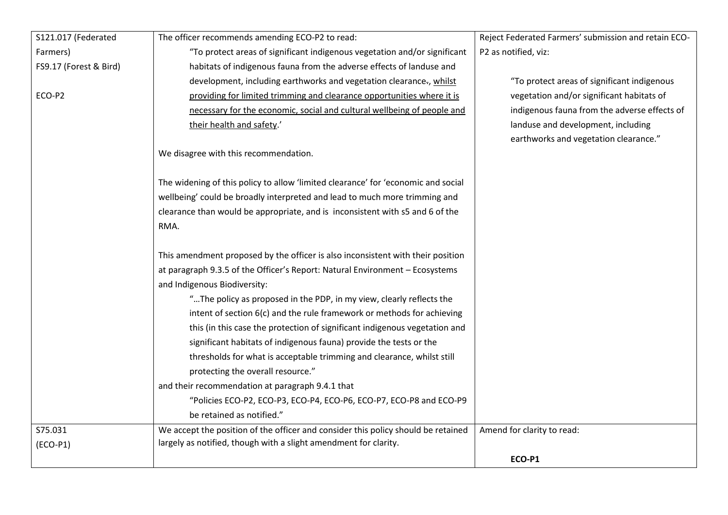| S121.017 (Federated    | The officer recommends amending ECO-P2 to read:                                   | Reject Federated Farmers' submission and retain ECO- |
|------------------------|-----------------------------------------------------------------------------------|------------------------------------------------------|
| Farmers)               | "To protect areas of significant indigenous vegetation and/or significant         | P2 as notified, viz:                                 |
| FS9.17 (Forest & Bird) | habitats of indigenous fauna from the adverse effects of landuse and              |                                                      |
|                        | development, including earthworks and vegetation clearance-, whilst               | "To protect areas of significant indigenous          |
| ECO-P2                 | providing for limited trimming and clearance opportunities where it is            | vegetation and/or significant habitats of            |
|                        | necessary for the economic, social and cultural wellbeing of people and           | indigenous fauna from the adverse effects of         |
|                        | their health and safety.'                                                         | landuse and development, including                   |
|                        |                                                                                   | earthworks and vegetation clearance."                |
|                        | We disagree with this recommendation.                                             |                                                      |
|                        |                                                                                   |                                                      |
|                        | The widening of this policy to allow 'limited clearance' for 'economic and social |                                                      |
|                        | wellbeing' could be broadly interpreted and lead to much more trimming and        |                                                      |
|                        | clearance than would be appropriate, and is inconsistent with s5 and 6 of the     |                                                      |
|                        | RMA.                                                                              |                                                      |
|                        |                                                                                   |                                                      |
|                        | This amendment proposed by the officer is also inconsistent with their position   |                                                      |
|                        | at paragraph 9.3.5 of the Officer's Report: Natural Environment - Ecosystems      |                                                      |
|                        | and Indigenous Biodiversity:                                                      |                                                      |
|                        | "The policy as proposed in the PDP, in my view, clearly reflects the              |                                                      |
|                        | intent of section 6(c) and the rule framework or methods for achieving            |                                                      |
|                        | this (in this case the protection of significant indigenous vegetation and        |                                                      |
|                        | significant habitats of indigenous fauna) provide the tests or the                |                                                      |
|                        | thresholds for what is acceptable trimming and clearance, whilst still            |                                                      |
|                        | protecting the overall resource."                                                 |                                                      |
|                        | and their recommendation at paragraph 9.4.1 that                                  |                                                      |
|                        | "Policies ECO-P2, ECO-P3, ECO-P4, ECO-P6, ECO-P7, ECO-P8 and ECO-P9               |                                                      |
|                        | be retained as notified."                                                         |                                                      |
| S75.031                | We accept the position of the officer and consider this policy should be retained | Amend for clarity to read:                           |
| $(ECO-P1)$             | largely as notified, though with a slight amendment for clarity.                  |                                                      |
|                        |                                                                                   | <b>ECO-P1</b>                                        |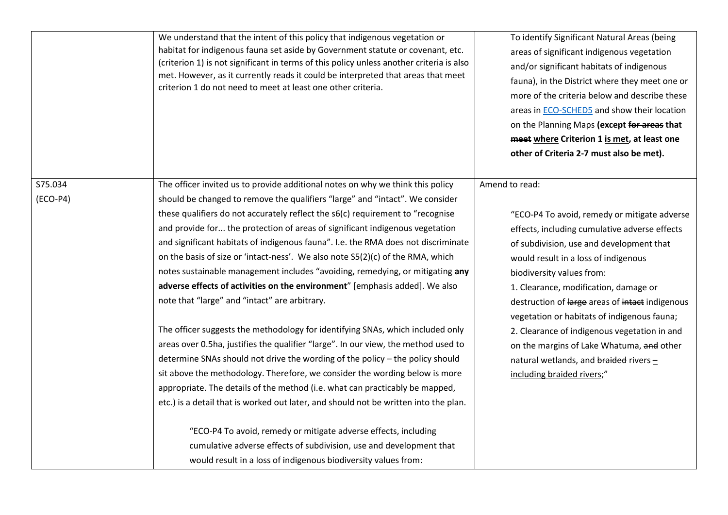|            | We understand that the intent of this policy that indigenous vegetation or<br>habitat for indigenous fauna set aside by Government statute or covenant, etc.<br>(criterion 1) is not significant in terms of this policy unless another criteria is also<br>met. However, as it currently reads it could be interpreted that areas that meet<br>criterion 1 do not need to meet at least one other criteria. | To identify Significant Natural Areas (being<br>areas of significant indigenous vegetation<br>and/or significant habitats of indigenous<br>fauna), in the District where they meet one or<br>more of the criteria below and describe these<br>areas in <b>ECO-SCHED5</b> and show their location<br>on the Planning Maps (except for areas that<br>meet where Criterion 1 is met, at least one<br>other of Criteria 2-7 must also be met). |
|------------|--------------------------------------------------------------------------------------------------------------------------------------------------------------------------------------------------------------------------------------------------------------------------------------------------------------------------------------------------------------------------------------------------------------|--------------------------------------------------------------------------------------------------------------------------------------------------------------------------------------------------------------------------------------------------------------------------------------------------------------------------------------------------------------------------------------------------------------------------------------------|
| S75.034    | The officer invited us to provide additional notes on why we think this policy                                                                                                                                                                                                                                                                                                                               | Amend to read:                                                                                                                                                                                                                                                                                                                                                                                                                             |
| $(ECO-P4)$ | should be changed to remove the qualifiers "large" and "intact". We consider                                                                                                                                                                                                                                                                                                                                 |                                                                                                                                                                                                                                                                                                                                                                                                                                            |
|            | these qualifiers do not accurately reflect the s6(c) requirement to "recognise                                                                                                                                                                                                                                                                                                                               | "ECO-P4 To avoid, remedy or mitigate adverse                                                                                                                                                                                                                                                                                                                                                                                               |
|            | and provide for the protection of areas of significant indigenous vegetation                                                                                                                                                                                                                                                                                                                                 | effects, including cumulative adverse effects                                                                                                                                                                                                                                                                                                                                                                                              |
|            | and significant habitats of indigenous fauna". I.e. the RMA does not discriminate                                                                                                                                                                                                                                                                                                                            | of subdivision, use and development that                                                                                                                                                                                                                                                                                                                                                                                                   |
|            | on the basis of size or 'intact-ness'. We also note S5(2)(c) of the RMA, which                                                                                                                                                                                                                                                                                                                               | would result in a loss of indigenous                                                                                                                                                                                                                                                                                                                                                                                                       |
|            | notes sustainable management includes "avoiding, remedying, or mitigating any                                                                                                                                                                                                                                                                                                                                | biodiversity values from:                                                                                                                                                                                                                                                                                                                                                                                                                  |
|            | adverse effects of activities on the environment" [emphasis added]. We also                                                                                                                                                                                                                                                                                                                                  | 1. Clearance, modification, damage or                                                                                                                                                                                                                                                                                                                                                                                                      |
|            | note that "large" and "intact" are arbitrary.                                                                                                                                                                                                                                                                                                                                                                | destruction of large areas of intact indigenous                                                                                                                                                                                                                                                                                                                                                                                            |
|            |                                                                                                                                                                                                                                                                                                                                                                                                              | vegetation or habitats of indigenous fauna;                                                                                                                                                                                                                                                                                                                                                                                                |
|            | The officer suggests the methodology for identifying SNAs, which included only                                                                                                                                                                                                                                                                                                                               | 2. Clearance of indigenous vegetation in and                                                                                                                                                                                                                                                                                                                                                                                               |
|            | areas over 0.5ha, justifies the qualifier "large". In our view, the method used to                                                                                                                                                                                                                                                                                                                           | on the margins of Lake Whatuma, and other                                                                                                                                                                                                                                                                                                                                                                                                  |
|            | determine SNAs should not drive the wording of the policy - the policy should                                                                                                                                                                                                                                                                                                                                | natural wetlands, and braided rivers $\pm$                                                                                                                                                                                                                                                                                                                                                                                                 |
|            | sit above the methodology. Therefore, we consider the wording below is more                                                                                                                                                                                                                                                                                                                                  | including braided rivers;"                                                                                                                                                                                                                                                                                                                                                                                                                 |
|            | appropriate. The details of the method (i.e. what can practicably be mapped,                                                                                                                                                                                                                                                                                                                                 |                                                                                                                                                                                                                                                                                                                                                                                                                                            |
|            | etc.) is a detail that is worked out later, and should not be written into the plan.                                                                                                                                                                                                                                                                                                                         |                                                                                                                                                                                                                                                                                                                                                                                                                                            |
|            | "ECO-P4 To avoid, remedy or mitigate adverse effects, including                                                                                                                                                                                                                                                                                                                                              |                                                                                                                                                                                                                                                                                                                                                                                                                                            |
|            | cumulative adverse effects of subdivision, use and development that                                                                                                                                                                                                                                                                                                                                          |                                                                                                                                                                                                                                                                                                                                                                                                                                            |
|            | would result in a loss of indigenous biodiversity values from:                                                                                                                                                                                                                                                                                                                                               |                                                                                                                                                                                                                                                                                                                                                                                                                                            |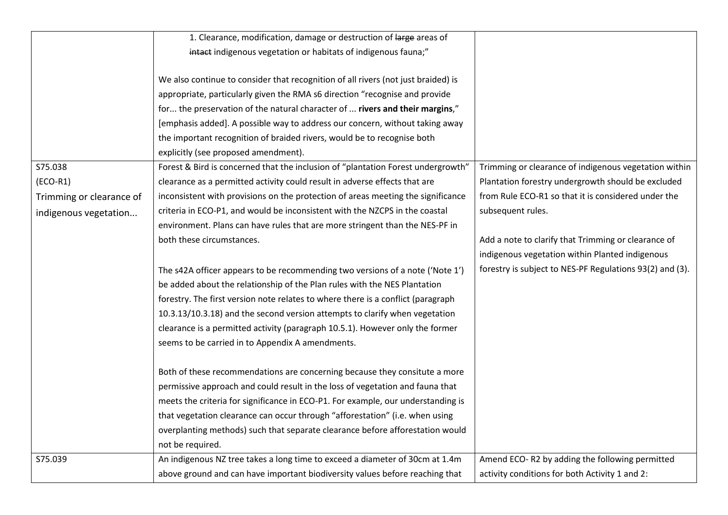|                          | 1. Clearance, modification, damage or destruction of large areas of               |                                                          |
|--------------------------|-----------------------------------------------------------------------------------|----------------------------------------------------------|
|                          | intact indigenous vegetation or habitats of indigenous fauna;"                    |                                                          |
|                          |                                                                                   |                                                          |
|                          | We also continue to consider that recognition of all rivers (not just braided) is |                                                          |
|                          | appropriate, particularly given the RMA s6 direction "recognise and provide       |                                                          |
|                          | for the preservation of the natural character of  rivers and their margins,"      |                                                          |
|                          | [emphasis added]. A possible way to address our concern, without taking away      |                                                          |
|                          | the important recognition of braided rivers, would be to recognise both           |                                                          |
|                          | explicitly (see proposed amendment).                                              |                                                          |
| S75.038                  | Forest & Bird is concerned that the inclusion of "plantation Forest undergrowth"  | Trimming or clearance of indigenous vegetation within    |
| $(ECO-R1)$               | clearance as a permitted activity could result in adverse effects that are        | Plantation forestry undergrowth should be excluded       |
| Trimming or clearance of | inconsistent with provisions on the protection of areas meeting the significance  | from Rule ECO-R1 so that it is considered under the      |
| indigenous vegetation    | criteria in ECO-P1, and would be inconsistent with the NZCPS in the coastal       | subsequent rules.                                        |
|                          | environment. Plans can have rules that are more stringent than the NES-PF in      |                                                          |
|                          | both these circumstances.                                                         | Add a note to clarify that Trimming or clearance of      |
|                          |                                                                                   | indigenous vegetation within Planted indigenous          |
|                          | The s42A officer appears to be recommending two versions of a note ('Note 1')     | forestry is subject to NES-PF Regulations 93(2) and (3). |
|                          | be added about the relationship of the Plan rules with the NES Plantation         |                                                          |
|                          | forestry. The first version note relates to where there is a conflict (paragraph  |                                                          |
|                          | 10.3.13/10.3.18) and the second version attempts to clarify when vegetation       |                                                          |
|                          | clearance is a permitted activity (paragraph 10.5.1). However only the former     |                                                          |
|                          | seems to be carried in to Appendix A amendments.                                  |                                                          |
|                          |                                                                                   |                                                          |
|                          | Both of these recommendations are concerning because they consitute a more        |                                                          |
|                          | permissive approach and could result in the loss of vegetation and fauna that     |                                                          |
|                          | meets the criteria for significance in ECO-P1. For example, our understanding is  |                                                          |
|                          | that vegetation clearance can occur through "afforestation" (i.e. when using      |                                                          |
|                          | overplanting methods) such that separate clearance before afforestation would     |                                                          |
|                          | not be required.                                                                  |                                                          |
| S75.039                  | An indigenous NZ tree takes a long time to exceed a diameter of 30cm at 1.4m      | Amend ECO-R2 by adding the following permitted           |
|                          | above ground and can have important biodiversity values before reaching that      | activity conditions for both Activity 1 and 2:           |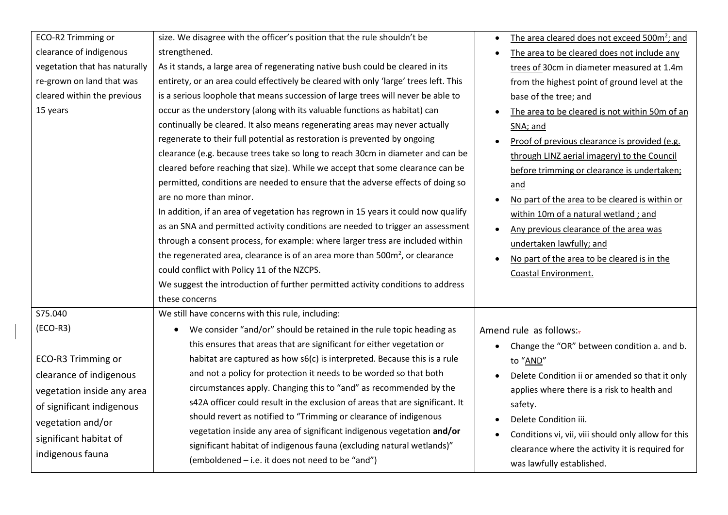| ECO-R2 Trimming or<br>clearance of indigenous<br>vegetation that has naturally<br>re-grown on land that was<br>cleared within the previous<br>15 years                      | size. We disagree with the officer's position that the rule shouldn't be<br>strengthened.<br>As it stands, a large area of regenerating native bush could be cleared in its<br>entirety, or an area could effectively be cleared with only 'large' trees left. This<br>is a serious loophole that means succession of large trees will never be able to<br>occur as the understory (along with its valuable functions as habitat) can<br>continually be cleared. It also means regenerating areas may never actually<br>regenerate to their full potential as restoration is prevented by ongoing<br>clearance (e.g. because trees take so long to reach 30cm in diameter and can be<br>cleared before reaching that size). While we accept that some clearance can be<br>permitted, conditions are needed to ensure that the adverse effects of doing so<br>are no more than minor.<br>In addition, if an area of vegetation has regrown in 15 years it could now qualify<br>as an SNA and permitted activity conditions are needed to trigger an assessment<br>through a consent process, for example: where larger tress are included within<br>the regenerated area, clearance is of an area more than $500\,\text{m}^2$ , or clearance<br>could conflict with Policy 11 of the NZCPS.<br>We suggest the introduction of further permitted activity conditions to address | The area cleared does not exceed 500m <sup>2</sup> ; and<br>$\bullet$<br>The area to be cleared does not include any<br>trees of 30cm in diameter measured at 1.4m<br>from the highest point of ground level at the<br>base of the tree; and<br>The area to be cleared is not within 50m of an<br>SNA; and<br>Proof of previous clearance is provided (e.g.<br>through LINZ aerial imagery) to the Council<br>before trimming or clearance is undertaken;<br>and<br>No part of the area to be cleared is within or<br>within 10m of a natural wetland; and<br>Any previous clearance of the area was<br>$\bullet$<br>undertaken lawfully; and<br>No part of the area to be cleared is in the<br>Coastal Environment. |
|-----------------------------------------------------------------------------------------------------------------------------------------------------------------------------|-------------------------------------------------------------------------------------------------------------------------------------------------------------------------------------------------------------------------------------------------------------------------------------------------------------------------------------------------------------------------------------------------------------------------------------------------------------------------------------------------------------------------------------------------------------------------------------------------------------------------------------------------------------------------------------------------------------------------------------------------------------------------------------------------------------------------------------------------------------------------------------------------------------------------------------------------------------------------------------------------------------------------------------------------------------------------------------------------------------------------------------------------------------------------------------------------------------------------------------------------------------------------------------------------------------------------------------------------------------------------------|----------------------------------------------------------------------------------------------------------------------------------------------------------------------------------------------------------------------------------------------------------------------------------------------------------------------------------------------------------------------------------------------------------------------------------------------------------------------------------------------------------------------------------------------------------------------------------------------------------------------------------------------------------------------------------------------------------------------|
|                                                                                                                                                                             | these concerns                                                                                                                                                                                                                                                                                                                                                                                                                                                                                                                                                                                                                                                                                                                                                                                                                                                                                                                                                                                                                                                                                                                                                                                                                                                                                                                                                                |                                                                                                                                                                                                                                                                                                                                                                                                                                                                                                                                                                                                                                                                                                                      |
| S75.040<br>$(ECO-R3)$                                                                                                                                                       | We still have concerns with this rule, including:<br>We consider "and/or" should be retained in the rule topic heading as<br>$\bullet$<br>this ensures that areas that are significant for either vegetation or                                                                                                                                                                                                                                                                                                                                                                                                                                                                                                                                                                                                                                                                                                                                                                                                                                                                                                                                                                                                                                                                                                                                                               | Amend rule as follows:-<br>Change the "OR" between condition a. and b.                                                                                                                                                                                                                                                                                                                                                                                                                                                                                                                                                                                                                                               |
| ECO-R3 Trimming or<br>clearance of indigenous<br>vegetation inside any area<br>of significant indigenous<br>vegetation and/or<br>significant habitat of<br>indigenous fauna | habitat are captured as how s6(c) is interpreted. Because this is a rule<br>and not a policy for protection it needs to be worded so that both<br>circumstances apply. Changing this to "and" as recommended by the<br>s42A officer could result in the exclusion of areas that are significant. It<br>should revert as notified to "Trimming or clearance of indigenous<br>vegetation inside any area of significant indigenous vegetation and/or<br>significant habitat of indigenous fauna (excluding natural wetlands)"                                                                                                                                                                                                                                                                                                                                                                                                                                                                                                                                                                                                                                                                                                                                                                                                                                                   | to "AND"<br>Delete Condition ii or amended so that it only<br>applies where there is a risk to health and<br>safety.<br>Delete Condition iii.<br>Conditions vi, vii, viii should only allow for this<br>clearance where the activity it is required for                                                                                                                                                                                                                                                                                                                                                                                                                                                              |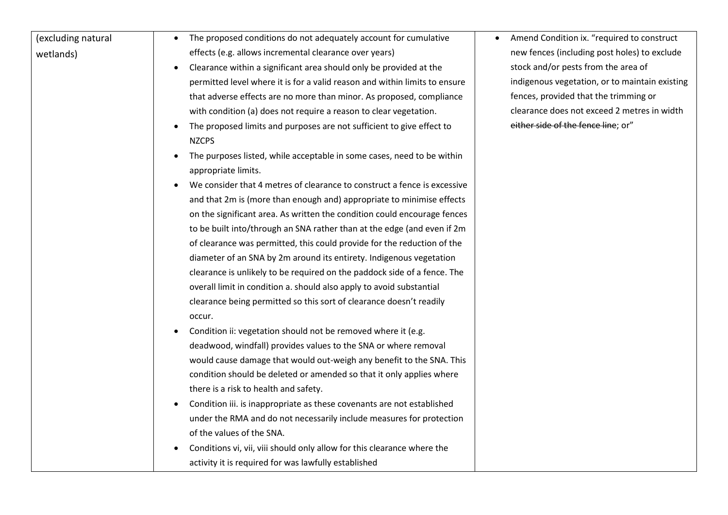| (excluding natural | The proposed conditions do not adequately account for cumulative<br>$\bullet$        | Amend Condition ix. "required to construct<br>$\bullet$ |
|--------------------|--------------------------------------------------------------------------------------|---------------------------------------------------------|
| wetlands)          | effects (e.g. allows incremental clearance over years)                               | new fences (including post holes) to exclude            |
|                    | Clearance within a significant area should only be provided at the                   | stock and/or pests from the area of                     |
|                    | permitted level where it is for a valid reason and within limits to ensure           | indigenous vegetation, or to maintain existing          |
|                    | that adverse effects are no more than minor. As proposed, compliance                 | fences, provided that the trimming or                   |
|                    | with condition (a) does not require a reason to clear vegetation.                    | clearance does not exceed 2 metres in width             |
|                    | The proposed limits and purposes are not sufficient to give effect to                | either side of the fence line; or"                      |
|                    | <b>NZCPS</b>                                                                         |                                                         |
|                    | The purposes listed, while acceptable in some cases, need to be within               |                                                         |
|                    | appropriate limits.                                                                  |                                                         |
|                    | We consider that 4 metres of clearance to construct a fence is excessive             |                                                         |
|                    | and that 2m is (more than enough and) appropriate to minimise effects                |                                                         |
|                    | on the significant area. As written the condition could encourage fences             |                                                         |
|                    | to be built into/through an SNA rather than at the edge (and even if 2m              |                                                         |
|                    | of clearance was permitted, this could provide for the reduction of the              |                                                         |
|                    | diameter of an SNA by 2m around its entirety. Indigenous vegetation                  |                                                         |
|                    | clearance is unlikely to be required on the paddock side of a fence. The             |                                                         |
|                    | overall limit in condition a. should also apply to avoid substantial                 |                                                         |
|                    | clearance being permitted so this sort of clearance doesn't readily                  |                                                         |
|                    | occur.                                                                               |                                                         |
|                    | Condition ii: vegetation should not be removed where it (e.g.                        |                                                         |
|                    | deadwood, windfall) provides values to the SNA or where removal                      |                                                         |
|                    | would cause damage that would out-weigh any benefit to the SNA. This                 |                                                         |
|                    | condition should be deleted or amended so that it only applies where                 |                                                         |
|                    | there is a risk to health and safety.                                                |                                                         |
|                    | Condition iii. is inappropriate as these covenants are not established               |                                                         |
|                    | under the RMA and do not necessarily include measures for protection                 |                                                         |
|                    | of the values of the SNA.                                                            |                                                         |
|                    | Conditions vi, vii, viii should only allow for this clearance where the<br>$\bullet$ |                                                         |
|                    | activity it is required for was lawfully established                                 |                                                         |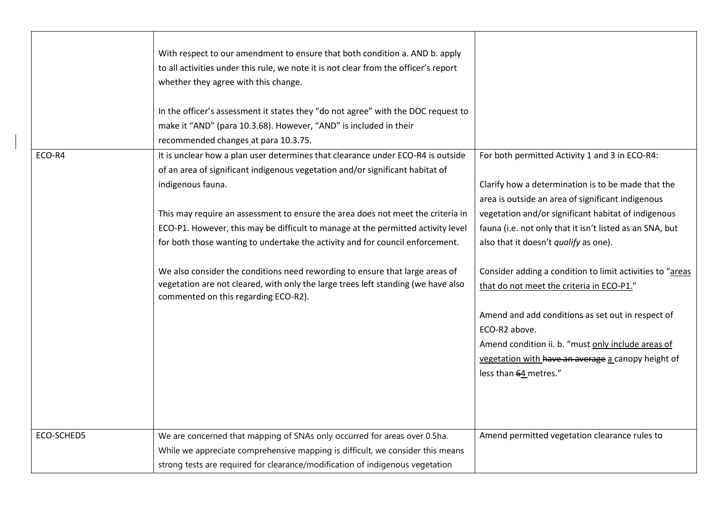|            | With respect to our amendment to ensure that both condition a. AND b. apply<br>to all activities under this rule, we note it is not clear from the officer's report<br>whether they agree with this change.<br>In the officer's assessment it states they "do not agree" with the DOC request to<br>make it "AND" (para 10.3.68). However, "AND" is included in their<br>recommended changes at para 10.3.75.                                                                                                                                                                                                                                              |                                                                                                                                                                                                                                                                                                                                                                                                                                                                                                                                                                                                                                            |
|------------|------------------------------------------------------------------------------------------------------------------------------------------------------------------------------------------------------------------------------------------------------------------------------------------------------------------------------------------------------------------------------------------------------------------------------------------------------------------------------------------------------------------------------------------------------------------------------------------------------------------------------------------------------------|--------------------------------------------------------------------------------------------------------------------------------------------------------------------------------------------------------------------------------------------------------------------------------------------------------------------------------------------------------------------------------------------------------------------------------------------------------------------------------------------------------------------------------------------------------------------------------------------------------------------------------------------|
| ECO-R4     | It is unclear how a plan user determines that clearance under ECO-R4 is outside<br>of an area of significant indigenous vegetation and/or significant habitat of<br>indigenous fauna.<br>This may require an assessment to ensure the area does not meet the criteria in<br>ECO-P1. However, this may be difficult to manage at the permitted activity level<br>for both those wanting to undertake the activity and for council enforcement.<br>We also consider the conditions need rewording to ensure that large areas of<br>vegetation are not cleared, with only the large trees left standing (we have also<br>commented on this regarding ECO-R2). | For both permitted Activity 1 and 3 in ECO-R4:<br>Clarify how a determination is to be made that the<br>area is outside an area of significant indigenous<br>vegetation and/or significant habitat of indigenous<br>fauna (i.e. not only that it isn't listed as an SNA, but<br>also that it doesn't qualify as one).<br>Consider adding a condition to limit activities to "areas<br>that do not meet the criteria in ECO-P1."<br>Amend and add conditions as set out in respect of<br>ECO-R2 above.<br>Amend condition ii. b. "must only include areas of<br>vegetation with have an average a canopy height of<br>less than 64 metres." |
| ECO-SCHED5 | We are concerned that mapping of SNAs only occurred for areas over 0.5ha.<br>While we appreciate comprehensive mapping is difficult, we consider this means<br>strong tests are required for clearance/modification of indigenous vegetation                                                                                                                                                                                                                                                                                                                                                                                                               | Amend permitted vegetation clearance rules to                                                                                                                                                                                                                                                                                                                                                                                                                                                                                                                                                                                              |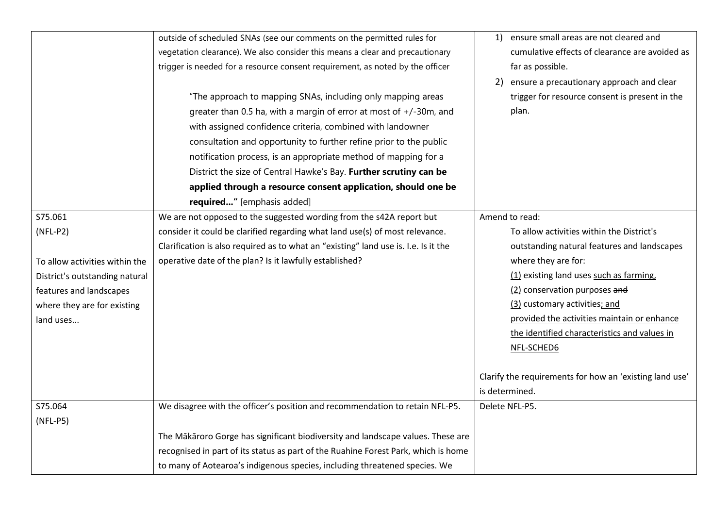|                                | outside of scheduled SNAs (see our comments on the permitted rules for              | ensure small areas are not cleared and<br>1)            |
|--------------------------------|-------------------------------------------------------------------------------------|---------------------------------------------------------|
|                                | vegetation clearance). We also consider this means a clear and precautionary        | cumulative effects of clearance are avoided as          |
|                                | trigger is needed for a resource consent requirement, as noted by the officer       | far as possible.                                        |
|                                |                                                                                     | ensure a precautionary approach and clear<br>2)         |
|                                | "The approach to mapping SNAs, including only mapping areas                         | trigger for resource consent is present in the          |
|                                | greater than 0.5 ha, with a margin of error at most of +/-30m, and                  | plan.                                                   |
|                                | with assigned confidence criteria, combined with landowner                          |                                                         |
|                                | consultation and opportunity to further refine prior to the public                  |                                                         |
|                                | notification process, is an appropriate method of mapping for a                     |                                                         |
|                                | District the size of Central Hawke's Bay. Further scrutiny can be                   |                                                         |
|                                | applied through a resource consent application, should one be                       |                                                         |
|                                | required" [emphasis added]                                                          |                                                         |
| S75.061                        | We are not opposed to the suggested wording from the s42A report but                | Amend to read:                                          |
| $(NFL-P2)$                     | consider it could be clarified regarding what land use(s) of most relevance.        | To allow activities within the District's               |
|                                | Clarification is also required as to what an "existing" land use is. I.e. Is it the | outstanding natural features and landscapes             |
| To allow activities within the | operative date of the plan? Is it lawfully established?                             | where they are for:                                     |
| District's outstanding natural |                                                                                     | (1) existing land uses such as farming,                 |
| features and landscapes        |                                                                                     | (2) conservation purposes and                           |
| where they are for existing    |                                                                                     | (3) customary activities; and                           |
| land uses                      |                                                                                     | provided the activities maintain or enhance             |
|                                |                                                                                     | the identified characteristics and values in            |
|                                |                                                                                     | NFL-SCHED6                                              |
|                                |                                                                                     |                                                         |
|                                |                                                                                     | Clarify the requirements for how an 'existing land use' |
|                                |                                                                                     | is determined.                                          |
| S75.064                        | We disagree with the officer's position and recommendation to retain NFL-P5.        | Delete NFL-P5.                                          |
| $(NFL-PS)$                     |                                                                                     |                                                         |
|                                | The Mākāroro Gorge has significant biodiversity and landscape values. These are     |                                                         |
|                                | recognised in part of its status as part of the Ruahine Forest Park, which is home  |                                                         |
|                                | to many of Aotearoa's indigenous species, including threatened species. We          |                                                         |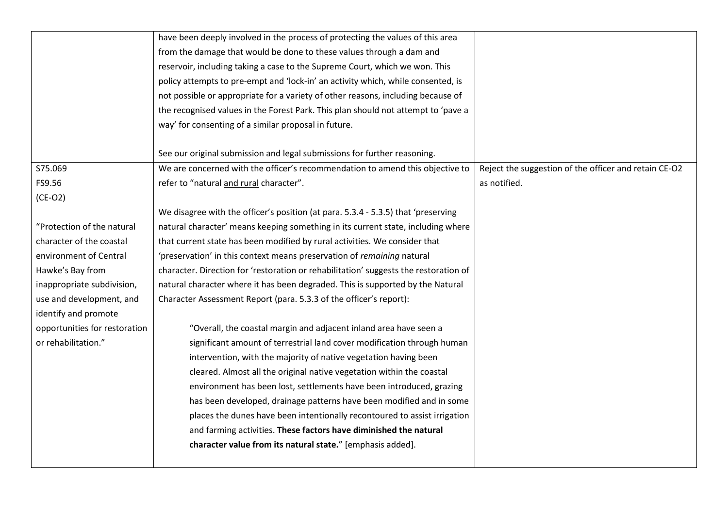|                               | have been deeply involved in the process of protecting the values of this area       |                                                       |
|-------------------------------|--------------------------------------------------------------------------------------|-------------------------------------------------------|
|                               | from the damage that would be done to these values through a dam and                 |                                                       |
|                               | reservoir, including taking a case to the Supreme Court, which we won. This          |                                                       |
|                               | policy attempts to pre-empt and 'lock-in' an activity which, while consented, is     |                                                       |
|                               | not possible or appropriate for a variety of other reasons, including because of     |                                                       |
|                               | the recognised values in the Forest Park. This plan should not attempt to 'pave a    |                                                       |
|                               | way' for consenting of a similar proposal in future.                                 |                                                       |
|                               |                                                                                      |                                                       |
|                               | See our original submission and legal submissions for further reasoning.             |                                                       |
| S75.069                       | We are concerned with the officer's recommendation to amend this objective to        | Reject the suggestion of the officer and retain CE-O2 |
| FS9.56                        | refer to "natural and rural character".                                              | as notified.                                          |
| $(CE-O2)$                     |                                                                                      |                                                       |
|                               | We disagree with the officer's position (at para. 5.3.4 - 5.3.5) that 'preserving    |                                                       |
| "Protection of the natural    | natural character' means keeping something in its current state, including where     |                                                       |
| character of the coastal      | that current state has been modified by rural activities. We consider that           |                                                       |
| environment of Central        | 'preservation' in this context means preservation of remaining natural               |                                                       |
| Hawke's Bay from              | character. Direction for 'restoration or rehabilitation' suggests the restoration of |                                                       |
| inappropriate subdivision,    | natural character where it has been degraded. This is supported by the Natural       |                                                       |
| use and development, and      | Character Assessment Report (para. 5.3.3 of the officer's report):                   |                                                       |
| identify and promote          |                                                                                      |                                                       |
| opportunities for restoration | "Overall, the coastal margin and adjacent inland area have seen a                    |                                                       |
| or rehabilitation."           | significant amount of terrestrial land cover modification through human              |                                                       |
|                               | intervention, with the majority of native vegetation having been                     |                                                       |
|                               | cleared. Almost all the original native vegetation within the coastal                |                                                       |
|                               | environment has been lost, settlements have been introduced, grazing                 |                                                       |
|                               | has been developed, drainage patterns have been modified and in some                 |                                                       |
|                               | places the dunes have been intentionally recontoured to assist irrigation            |                                                       |
|                               | and farming activities. These factors have diminished the natural                    |                                                       |
|                               | character value from its natural state." [emphasis added].                           |                                                       |
|                               |                                                                                      |                                                       |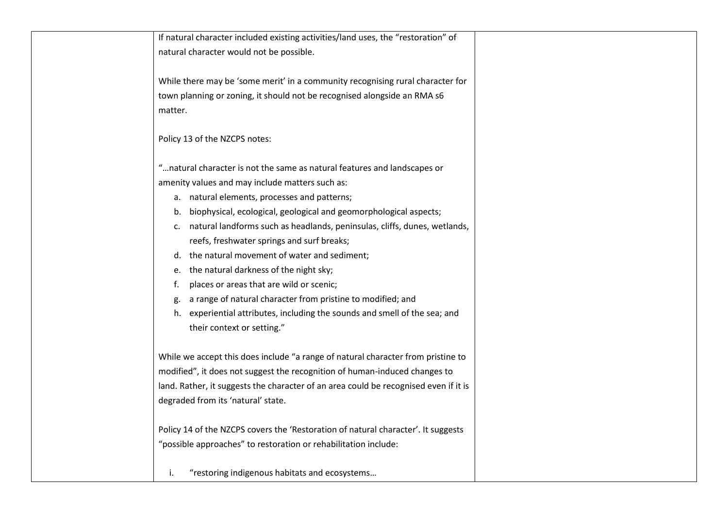If natural character included existing activities/land uses, the "restoration" of natural character would not be possible.

While there may be 'some merit' in a community recognising rural character for town planning or zoning, it should not be recognised alongside an RMA s6 matter.

Policy 13 of the NZCPS notes:

"…natural character is not the same as natural features and landscapes or amenity values and may include matters such as:

- a. natural elements, processes and patterns;
- b. biophysical, ecological, geological and geomorphological aspects;
- c. natural landforms such as headlands, peninsulas, cliffs, dunes, wetlands, reefs, freshwater springs and surf breaks;
- d. the natural movement of water and sediment;
- e. the natural darkness of the night sky;
- f. places or areas that are wild or scenic;
- g. a range of natural character from pristine to modified; and
- h. experiential attributes, including the sounds and smell of the sea; and their context or setting."

While we accept this does include "a range of natural character from pristine to modified", it does not suggest the recognition of human-induced changes to land. Rather, it suggests the character of an area could be recognised even if it is degraded from its 'natural' state.

Policy 14 of the NZCPS covers the 'Restoration of natural character'. It suggests "possible approaches" to restoration or rehabilitation include:

i. "restoring indigenous habitats and ecosystems…